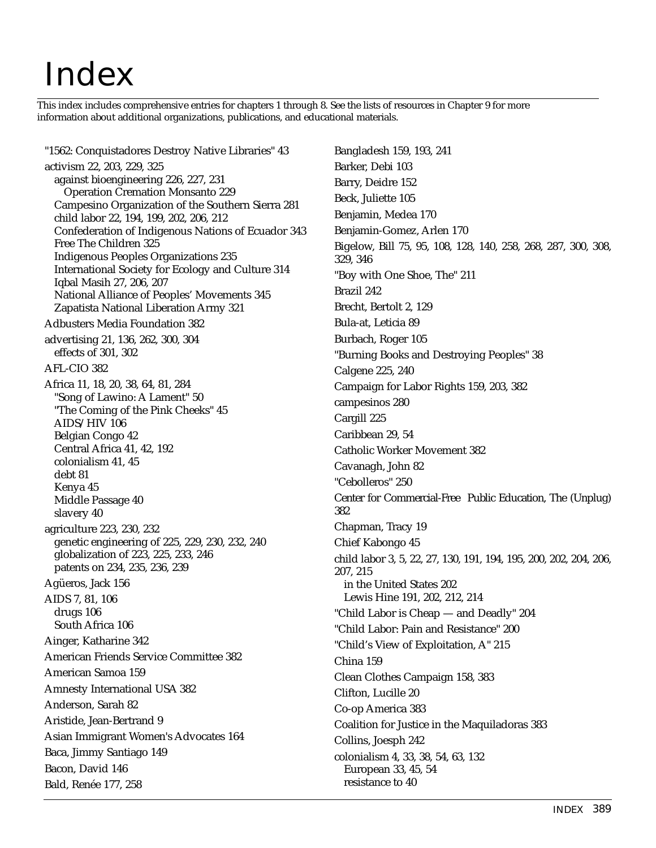## Index

This index includes comprehensive entries for chapters 1 through 8. See the lists of resources in Chapter 9 for more information about additional organizations, publications, and educational materials.

"1562: Conquistadores Destroy Native Libraries" 43 activism 22, 203, 229, 325 against bioengineering 226, 227, 231 Operation Cremation Monsanto 229 Campesino Organization of the Southern Sierra 281 child labor 22, 194, 199, 202, 206, 212 Confederation of Indigenous Nations of Ecuador 343 Free The Children 325 Indigenous Peoples Organizations 235 International Society for Ecology and Culture 314 Iqbal Masih 27, 206, 207 National Alliance of Peoples' Movements 345 Zapatista National Liberation Army 321 Adbusters Media Foundation 382 advertising 21, 136, 262, 300, 304 effects of 301, 302 AFL-CIO 382 Africa 11, 18, 20, 38, 64, 81, 284 "Song of Lawino: A Lament" 50 "The Coming of the Pink Cheeks" 45 AIDS/HIV 106 Belgian Congo 42 Central Africa 41, 42, 192 colonialism 41, 45 debt 81 Kenya 45 Middle Passage 40 slavery 40 agriculture 223, 230, 232 genetic engineering of 225, 229, 230, 232, 240 globalization of 223, 225, 233, 246 patents on 234, 235, 236, 239 Agüeros, Jack 156 AIDS 7, 81, 106 drugs 106 South Africa 106 Ainger, Katharine 342 American Friends Service Committee 382 American Samoa 159 Amnesty International USA 382 Anderson, Sarah 82 Aristide, Jean-Bertrand 9 Asian Immigrant Women's Advocates 164 Baca, Jimmy Santiago 149 Bacon, David 146 Bald, Renée 177, 258

Bangladesh 159, 193, 241 Barker, Debi 103 Barry, Deidre 152 Beck, Juliette 105 Benjamin, Medea 170 Benjamin-Gomez, Arlen 170 Bigelow, Bill 75, 95, 108, 128, 140, 258, 268, 287, 300, 308, 329, 346 "Boy with One Shoe, The" 211 Brazil 242 Brecht, Bertolt 2, 129 Bula-at, Leticia 89 Burbach, Roger 105 "Burning Books and Destroying Peoples" 38 Calgene 225, 240 Campaign for Labor Rights 159, 203, 382 campesinos 280 Cargill 225 Caribbean 29, 54 Catholic Worker Movement 382 Cavanagh, John 82 "Cebolleros" 250 Center for Commercial-Free Public Education, The (Unplug) 382 Chapman, Tracy 19 Chief Kabongo 45 child labor 3, 5, 22, 27, 130, 191, 194, 195, 200, 202, 204, 206, 207, 215 in the United States 202 Lewis Hine 191, 202, 212, 214 "Child Labor is Cheap — and Deadly" 204 "Child Labor: Pain and Resistance" 200 "Child's View of Exploitation, A" 215 China 159 Clean Clothes Campaign 158, 383 Clifton, Lucille 20 Co-op America 383 Coalition for Justice in the Maquiladoras 383 Collins, Joesph 242 colonialism 4, 33, 38, 54, 63, 132 European 33, 45, 54 resistance to 40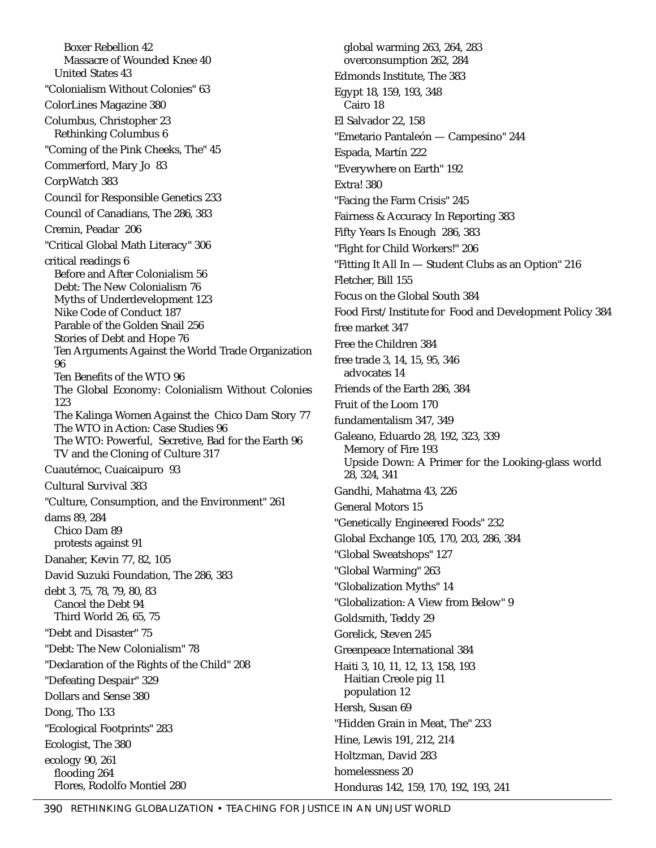Boxer Rebellion 42 Massacre of Wounded Knee 40 United States 43 "Colonialism Without Colonies" 63 ColorLines Magazine 380 Columbus, Christopher 23 Rethinking Columbus 6 "Coming of the Pink Cheeks, The" 45 Commerford, Mary Jo 83 CorpWatch 383 Council for Responsible Genetics 233 Council of Canadians, The 286, 383 Cremin, Peadar 206 "Critical Global Math Literacy" 306 critical readings 6 Before and After Colonialism 56 Debt: The New Colonialism 76 Myths of Underdevelopment 123 Nike Code of Conduct 187 Parable of the Golden Snail 256 Stories of Debt and Hope 76 Ten Arguments Against the World Trade Organization 96 Ten Benefits of the WTO 96 The Global Economy: Colonialism Without Colonies 123 The Kalinga Women Against the Chico Dam Story 77 The WTO in Action: Case Studies 96 The WTO: Powerful, Secretive, Bad for the Earth 96 TV and the Cloning of Culture 317 Cuautémoc, Cuaicaipuro 93 Cultural Survival 383 "Culture, Consumption, and the Environment" 261 dams 89, 284 Chico Dam 89 protests against 91 Danaher, Kevin 77, 82, 105 David Suzuki Foundation, The 286, 383 debt 3, 75, 78, 79, 80, 83 Cancel the Debt 94 Third World 26, 65, 75 "Debt and Disaster" 75 "Debt: The New Colonialism" 78 "Declaration of the Rights of the Child" 208 "Defeating Despair" 329 Dollars and Sense 380 Dong, Tho 133 "Ecological Footprints" 283 Ecologist, The 380 ecology 90, 261 flooding 264 Flores, Rodolfo Montiel 280

global warming 263, 264, 283 overconsumption 262, 284 Edmonds Institute, The 383 Egypt 18, 159, 193, 348 Cairo 18 El Salvador 22, 158 "Emetario Pantaleón — Campesino" 244 Espada, Martín 222 "Everywhere on Earth" 192 Extra! 380 "Facing the Farm Crisis" 245 Fairness & Accuracy In Reporting 383 Fifty Years Is Enough 286, 383 "Fight for Child Workers!" 206 "Fitting It All In — Student Clubs as an Option" 216 Fletcher, Bill 155 Focus on the Global South 384 Food First/Institute for Food and Development Policy 384 free market 347 Free the Children 384 free trade 3, 14, 15, 95, 346 advocates 14 Friends of the Earth 286, 384 Fruit of the Loom 170 fundamentalism 347, 349 Galeano, Eduardo 28, 192, 323, 339 Memory of Fire 193 Upside Down: A Primer for the Looking-glass world 28, 324, 341 Gandhi, Mahatma 43, 226 General Motors 15 "Genetically Engineered Foods" 232 Global Exchange 105, 170, 203, 286, 384 "Global Sweatshops" 127 "Global Warming" 263 "Globalization Myths" 14 "Globalization: A View from Below" 9 Goldsmith, Teddy 29 Gorelick, Steven 245 Greenpeace International 384 Haiti 3, 10, 11, 12, 13, 158, 193 Haitian Creole pig 11 population 12 Hersh, Susan 69 "Hidden Grain in Meat, The" 233 Hine, Lewis 191, 212, 214 Holtzman, David 283 homelessness 20 Honduras 142, 159, 170, 192, 193, 241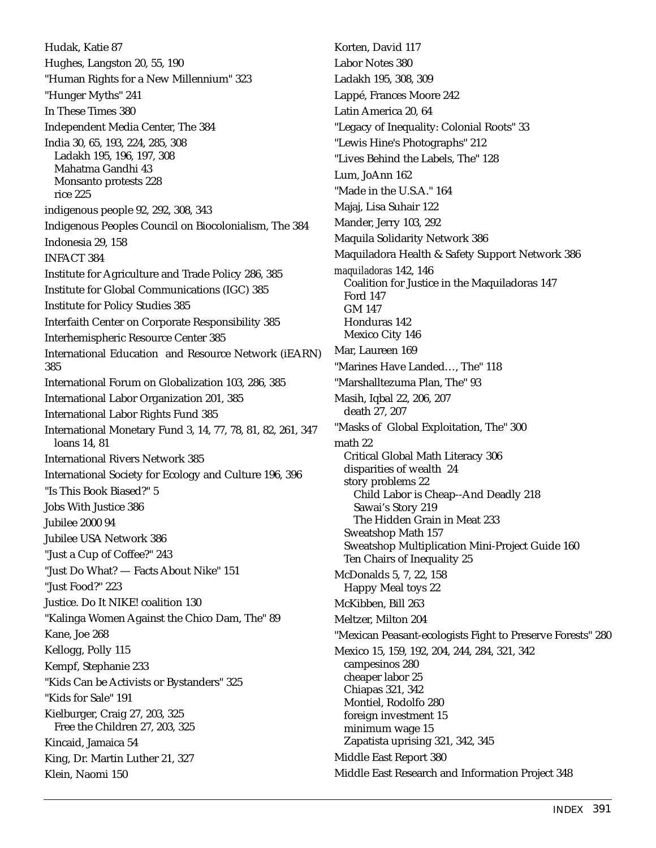Hudak, Katie 87 Hughes, Langston 20, 55, 190 "Human Rights for a New Millennium" 323 "Hunger Myths" 241 In These Times 380 Independent Media Center, The 384 India 30, 65, 193, 224, 285, 308 Ladakh 195, 196, 197, 308 Mahatma Gandhi 43 Monsanto protests 228 rice 225 indigenous people 92, 292, 308, 343 Indigenous Peoples Council on Biocolonialism, The 384 Indonesia 29, 158 INFACT 384 Institute for Agriculture and Trade Policy 286, 385 Institute for Global Communications (IGC) 385 Institute for Policy Studies 385 Interfaith Center on Corporate Responsibility 385 Interhemispheric Resource Center 385 International Education and Resource Network (iEARN) 385 International Forum on Globalization 103, 286, 385 International Labor Organization 201, 385 International Labor Rights Fund 385 International Monetary Fund 3, 14, 77, 78, 81, 82, 261, 347 loans 14, 81 International Rivers Network 385 International Society for Ecology and Culture 196, 396 "Is This Book Biased?" 5 Jobs With Justice 386 Jubilee 2000 94 Jubilee USA Network 386 "Just a Cup of Coffee?" 243 "Just Do What? — Facts About Nike" 151 "Just Food?" 223 Justice. Do It NIKE! coalition 130 "Kalinga Women Against the Chico Dam, The" 89 Kane, Joe 268 Kellogg, Polly 115 Kempf, Stephanie 233 "Kids Can be Activists or Bystanders" 325 "Kids for Sale" 191 Kielburger, Craig 27, 203, 325 Free the Children 27, 203, 325 Kincaid, Jamaica 54 King, Dr. Martin Luther 21, 327 Klein, Naomi 150

Korten, David 117 Labor Notes 380 Ladakh 195, 308, 309 Lappé, Frances Moore 242 Latin America 20, 64 "Legacy of Inequality: Colonial Roots" 33 "Lewis Hine's Photographs" 212 "Lives Behind the Labels, The" 128 Lum, JoAnn 162 "Made in the U.S.A." 164 Majaj, Lisa Suhair 122 Mander, Jerry 103, 292 Maquila Solidarity Network 386 Maquiladora Health & Safety Support Network 386 *maquiladoras* 142, 146 Coalition for Justice in the Maquiladoras 147 Ford 147 GM 147 Honduras 142 Mexico City 146 Mar, Laureen 169 "Marines Have Landed…, The" 118 "Marshalltezuma Plan, The" 93 Masih, Iqbal 22, 206, 207 death 27, 207 "Masks of Global Exploitation, The" 300 math 22 Critical Global Math Literacy 306 disparities of wealth 24 story problems 22 Child Labor is Cheap--And Deadly 218 Sawai's Story 219 The Hidden Grain in Meat 233 Sweatshop Math 157 Sweatshop Multiplication Mini-Project Guide 160 Ten Chairs of Inequality 25 McDonalds 5, 7, 22, 158 Happy Meal toys 22 McKibben, Bill 263 Meltzer, Milton 204 "Mexican Peasant-ecologists Fight to Preserve Forests" 280 Mexico 15, 159, 192, 204, 244, 284, 321, 342 campesinos 280 cheaper labor 25 Chiapas 321, 342 Montiel, Rodolfo 280 foreign investment 15 minimum wage 15 Zapatista uprising 321, 342, 345 Middle East Report 380 Middle East Research and Information Project 348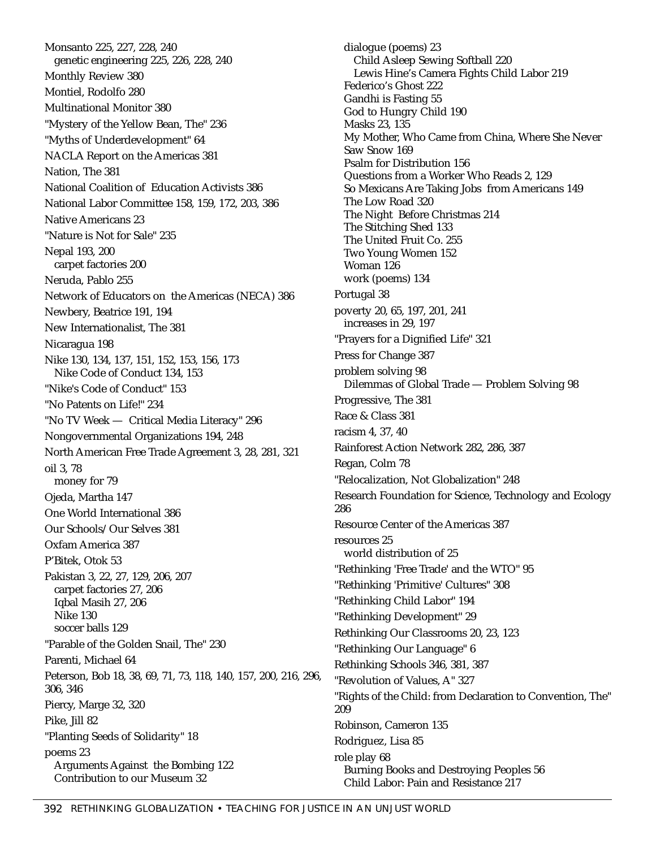Monsanto 225, 227, 228, 240 genetic engineering 225, 226, 228, 240 Monthly Review 380 Montiel, Rodolfo 280 Multinational Monitor 380 "Mystery of the Yellow Bean, The" 236 "Myths of Underdevelopment" 64 NACLA Report on the Americas 381 Nation, The 381 National Coalition of Education Activists 386 National Labor Committee 158, 159, 172, 203, 386 Native Americans 23 "Nature is Not for Sale" 235 Nepal 193, 200 carpet factories 200 Neruda, Pablo 255 Network of Educators on the Americas (NECA) 386 Newbery, Beatrice 191, 194 New Internationalist, The 381 Nicaragua 198 Nike 130, 134, 137, 151, 152, 153, 156, 173 Nike Code of Conduct 134, 153 "Nike's Code of Conduct" 153 "No Patents on Life!" 234 "No TV Week — Critical Media Literacy" 296 Nongovernmental Organizations 194, 248 North American Free Trade Agreement 3, 28, 281, 321 oil 3, 78 money for 79 Ojeda, Martha 147 One World International 386 Our Schools/Our Selves 381 Oxfam America 387 P'Bitek, Otok 53 Pakistan 3, 22, 27, 129, 206, 207 carpet factories 27, 206 Iqbal Masih 27, 206 Nike 130 soccer balls 129 "Parable of the Golden Snail, The" 230 Parenti, Michael 64 Peterson, Bob 18, 38, 69, 71, 73, 118, 140, 157, 200, 216, 296, 306, 346 Piercy, Marge 32, 320 Pike, Jill 82 "Planting Seeds of Solidarity" 18 poems 23 Arguments Against the Bombing 122 Contribution to our Museum 32

dialogue (poems) 23 Child Asleep Sewing Softball 220 Lewis Hine's Camera Fights Child Labor 219 Federico's Ghost 222 Gandhi is Fasting 55 God to Hungry Child 190 Masks 23, 135 My Mother, Who Came from China, Where She Never Saw Snow 169 Psalm for Distribution 156 Questions from a Worker Who Reads 2, 129 So Mexicans Are Taking Jobs from Americans 149 The Low Road 320 The Night Before Christmas 214 The Stitching Shed 133 The United Fruit Co. 255 Two Young Women 152 Woman 126 work (poems) 134 Portugal 38 poverty 20, 65, 197, 201, 241 increases in 29, 197 "Prayers for a Dignified Life" 321 Press for Change 387 problem solving 98 Dilemmas of Global Trade — Problem Solving 98 Progressive, The 381 Race & Class 381 racism 4, 37, 40 Rainforest Action Network 282, 286, 387 Regan, Colm 78 "Relocalization, Not Globalization" 248 Research Foundation for Science, Technology and Ecology 286 Resource Center of the Americas 387 resources 25 world distribution of 25 "Rethinking 'Free Trade' and the WTO" 95 "Rethinking 'Primitive' Cultures" 308 "Rethinking Child Labor" 194 "Rethinking Development" 29 Rethinking Our Classrooms 20, 23, 123 "Rethinking Our Language" 6 Rethinking Schools 346, 381, 387 "Revolution of Values, A" 327 "Rights of the Child: from Declaration to Convention, The" 209 Robinson, Cameron 135 Rodriguez, Lisa 85 role play 68 Burning Books and Destroying Peoples 56 Child Labor: Pain and Resistance 217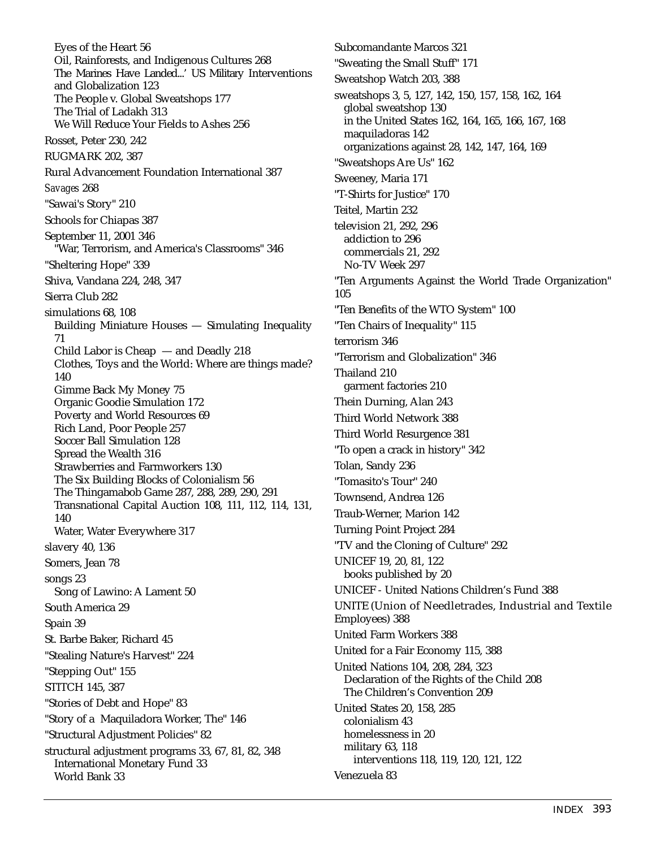Eyes of the Heart 56 Oil, Rainforests, and Indigenous Cultures 268 The Marines Have Landed...' US Military Interventions and Globalization 123 The People v. Global Sweatshops 177 The Trial of Ladakh 313 We Will Reduce Your Fields to Ashes 256 Rosset, Peter 230, 242 RUGMARK 202, 387 Rural Advancement Foundation International 387 *Savages* 268 "Sawai's Story" 210 Schools for Chiapas 387 September 11, 2001 346 "War, Terrorism, and America's Classrooms" 346 "Sheltering Hope" 339 Shiva, Vandana 224, 248, 347 Sierra Club 282 simulations 68, 108 Building Miniature Houses — Simulating Inequality 71 Child Labor is Cheap — and Deadly 218 Clothes, Toys and the World: Where are things made? 140 Gimme Back My Money 75 Organic Goodie Simulation 172 Poverty and World Resources 69 Rich Land, Poor People 257 Soccer Ball Simulation 128 Spread the Wealth 316 Strawberries and Farmworkers 130 The Six Building Blocks of Colonialism 56 The Thingamabob Game 287, 288, 289, 290, 291 Transnational Capital Auction 108, 111, 112, 114, 131, 140 Water, Water Everywhere 317 slavery 40, 136 Somers, Jean 78 songs 23 Song of Lawino: A Lament 50 South America 29 Spain 39 St. Barbe Baker, Richard 45 "Stealing Nature's Harvest" 224 "Stepping Out" 155 STITCH 145, 387 "Stories of Debt and Hope" 83 "Story of a Maquiladora Worker, The" 146 "Structural Adjustment Policies" 82 structural adjustment programs 33, 67, 81, 82, 348 International Monetary Fund 33 World Bank 33

Subcomandante Marcos 321 "Sweating the Small Stuff" 171 Sweatshop Watch 203, 388 sweatshops 3, 5, 127, 142, 150, 157, 158, 162, 164 global sweatshop 130 in the United States 162, 164, 165, 166, 167, 168 maquiladoras 142 organizations against 28, 142, 147, 164, 169 "Sweatshops Are Us" 162 Sweeney, Maria 171 "T-Shirts for Justice" 170 Teitel, Martin 232 television 21, 292, 296 addiction to 296 commercials 21, 292 No-TV Week 297 "Ten Arguments Against the World Trade Organization" 105 "Ten Benefits of the WTO System" 100 "Ten Chairs of Inequality" 115 terrorism 346 "Terrorism and Globalization" 346 Thailand 210 garment factories 210 Thein Durning, Alan 243 Third World Network 388 Third World Resurgence 381 "To open a crack in history" 342 Tolan, Sandy 236 "Tomasito's Tour" 240 Townsend, Andrea 126 Traub-Werner, Marion 142 Turning Point Project 284 "TV and the Cloning of Culture" 292 UNICEF 19, 20, 81, 122 books published by 20 UNICEF - United Nations Children's Fund 388 UNITE (Union of Needletrades, Industrial and Textile Employees) 388 United Farm Workers 388 United for a Fair Economy 115, 388 United Nations 104, 208, 284, 323 Declaration of the Rights of the Child 208 The Children's Convention 209 United States 20, 158, 285 colonialism 43 homelessness in 20 military 63, 118 interventions 118, 119, 120, 121, 122 Venezuela 83